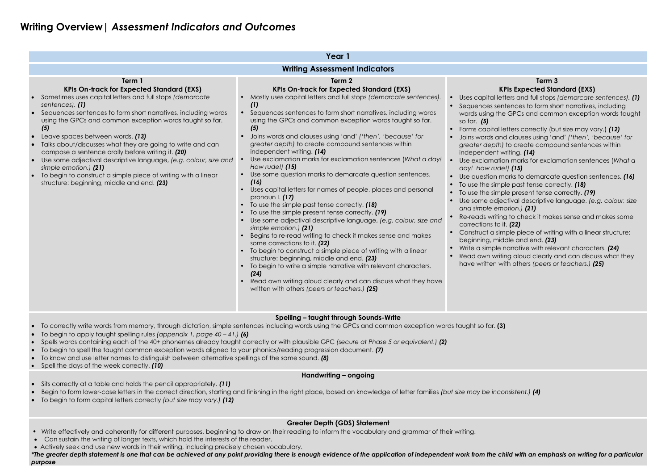## **Writing Overview|** *Assessment Indicators and Outcomes*

|                                                                                                                                                                                                                                                                                                                                                                                                                                                                                                                                                                                                                                                                            | Year 1                                                                                                                                                                                                                                                                                                                                                                                                                                                                                                                                                                                                                                                                                                                                                                                                                                                                                                                                                                                                                                                                                                                                                                                                                                                                                                                                                                                                                                 |                                                                                                                                                                                                                                                                                                                                                                                                                                                                     |  |  |  |  |  |
|----------------------------------------------------------------------------------------------------------------------------------------------------------------------------------------------------------------------------------------------------------------------------------------------------------------------------------------------------------------------------------------------------------------------------------------------------------------------------------------------------------------------------------------------------------------------------------------------------------------------------------------------------------------------------|----------------------------------------------------------------------------------------------------------------------------------------------------------------------------------------------------------------------------------------------------------------------------------------------------------------------------------------------------------------------------------------------------------------------------------------------------------------------------------------------------------------------------------------------------------------------------------------------------------------------------------------------------------------------------------------------------------------------------------------------------------------------------------------------------------------------------------------------------------------------------------------------------------------------------------------------------------------------------------------------------------------------------------------------------------------------------------------------------------------------------------------------------------------------------------------------------------------------------------------------------------------------------------------------------------------------------------------------------------------------------------------------------------------------------------------|---------------------------------------------------------------------------------------------------------------------------------------------------------------------------------------------------------------------------------------------------------------------------------------------------------------------------------------------------------------------------------------------------------------------------------------------------------------------|--|--|--|--|--|
| <b>Writing Assessment Indicators</b>                                                                                                                                                                                                                                                                                                                                                                                                                                                                                                                                                                                                                                       |                                                                                                                                                                                                                                                                                                                                                                                                                                                                                                                                                                                                                                                                                                                                                                                                                                                                                                                                                                                                                                                                                                                                                                                                                                                                                                                                                                                                                                        |                                                                                                                                                                                                                                                                                                                                                                                                                                                                     |  |  |  |  |  |
| Term 1<br><b>KPIs On-track for Expected Standard (EXS)</b><br>Sometimes uses capital letters and full stops (demarcate<br>sentences). (1)<br>Sequences sentences to form short narratives, including words<br>using the GPCs and common exception words taught so far.<br>(5)<br>Leave spaces between words. (13)<br>Talks about/discusses what they are going to write and can<br>compose a sentence orally before writing it. (20)<br>Use some adjectival descriptive language, (e.g. colour, size and<br>$\bullet$<br>simple emotion.) (21)<br>To begin to construct a simple piece of writing with a linear<br>$\bullet$<br>structure: beginning, middle and end. (23) | Term 2<br><b>KPIs On-track for Expected Standard (EXS)</b><br>Mostly uses capital letters and full stops (demarcate sentences).<br>(1)<br>Sequences sentences to form short narratives, including words<br>using the GPCs and common exception words taught so far.<br>(5)<br>Joins words and clauses using 'and' ('then', 'because' for<br>greater depth) to create compound sentences within<br>independent writing. (14)<br>Use exclamation marks for exclamation sentences (What a day!<br>How rude!) $(15)$<br>Use some question marks to demarcate question sentences.<br>(16)<br>Uses capital letters for names of people, places and personal<br>pronoun $I. (17)$<br>To use the simple past tense correctly. (18)<br>To use the simple present tense correctly. (19)<br>Use some adjectival descriptive language, (e.g. colour, size and<br>simple emotion.) (21)<br>Begins to re-read writing to check it makes sense and makes<br>some corrections to it. (22)<br>To begin to construct a simple piece of writing with a linear<br>structure: beginning, middle and end. (23)<br>To begin to write a simple narrative with relevant characters.<br>(24)<br>Read own writing aloud clearly and can discuss what they have<br>written with others (peers or teachers.) (25)<br>$\bullet$ and $\bullet$ and $\bullet$ are associated in the set of $\bullet$ and $\bullet$ and $\bullet$ and $\bullet$ in the set of $\bullet$ | K.<br>Uses capital let<br>Sequences sen<br>words using the<br>so far. $(5)$<br>Forms capital le<br>Joins words and<br>greater depth)<br>independent w<br>$\bullet$<br>Use exclamatic<br>day! How rude<br>Use question m<br>To use the simp<br>To use the simp<br>$\bullet$<br>Use some adjed<br>and simple eme<br>Re-reads writing<br>corrections to it<br>Construct a sim<br>$\bullet$<br>beginning, mid<br>Write a simple r<br>Read own writin<br>have written wi |  |  |  |  |  |

g to check it makes sense and makes some corrections to it. *(22)*

iple piece of writing with a linear structure: dle and end. **(23)** 

harrative with relevant characters. **(24)** 

ng aloud clearly and can discuss what they

*ith others (peers or teachers.) (25)* 

#### **Term 3 KPIs Expected Standard (EXS)**

ters and full stops *(demarcate sentences)*. *(1)* tences to form short narratives, including **GPCs and common exception words taught** 

etters correctly (but size may vary.) *(12)* • Joins words and clauses using 'and' *('then', 'because' for*  to create compound sentences within riting. **(14)** 

• Use exclamation marks for exclamation sentences (*What a day! How rude!) (15)*

erks to demarcate question sentences. *(16)* le past tense correctly. **(18)** 

le present tense correctly. **(19)** 

• Use some adjectival descriptive language, *(e.g. colour, size and simple emotion.) (21)*

#### **Spelling – taught through Sounds-Write**

- To correctly write words from memory, through dictation, simple sentences including words using the GPCs and common exception words taught so far. **(3)**
- To begin to apply taught spelling rules *(appendix 1, page 40 – 41.) (6)*
- Spells words containing each of the 40+ phonemes already taught correctly or with plausible GPC *(secure at Phase 5 or equivalent.) (2)*
- To begin to spell the taught common exception words aligned to your phonics/reading progression document. *(7)*
- To know and use letter names to distinguish between alternative spellings of the same sound. *(8)*
- Spell the days of the week correctly. *(10)*

#### **Handwriting – ongoing**

- Sits correctly at a table and holds the pencil appropriately. *(11)*
- Begin to form lower-case letters in the correct direction, starting and finishing in the right place, based on knowledge of letter families *(but size may be inconsistent.) (4)*
- To begin to form capital letters correctly *(but size may vary.) (12)*

### **Greater Depth (GDS) Statement**

- Write effectively and coherently for different purposes, beginning to draw on their reading to inform the vocabulary and grammar of their writing.
- Can sustain the writing of longer texts, which hold the interests of the reader.
- Actively seek and use new words in their writing, including precisely chosen vocabulary.

*\*The greater depth statement is one that can be achieved at any point providing there is enough evidence of the application of independent work from the child with an emphasis on writing for a particular purpose*